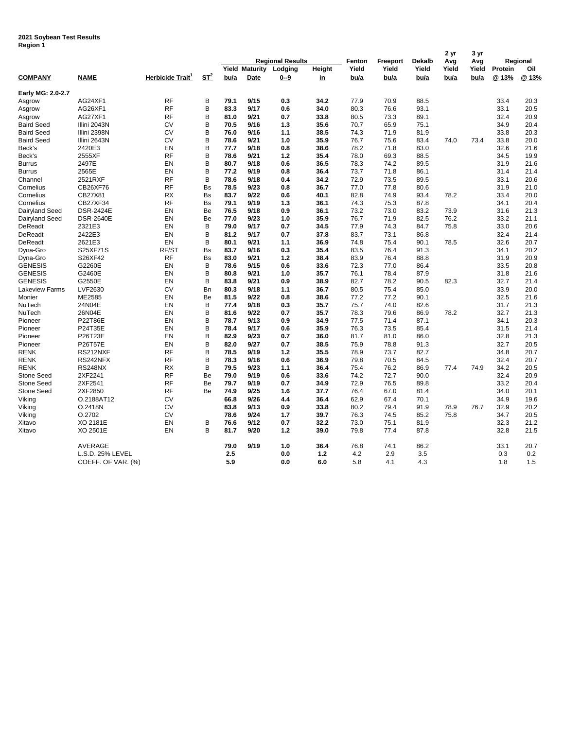## **2021 Soybean Test Results Region 1**

| .                     |                    |                        |           | <b>Regional Results</b> |                       |         | Fenton | Freeport | Dekalb | 2 yr<br>Avg | 3 yr<br>Avg | Regional |         |      |
|-----------------------|--------------------|------------------------|-----------|-------------------------|-----------------------|---------|--------|----------|--------|-------------|-------------|----------|---------|------|
|                       |                    |                        |           |                         | <b>Yield Maturity</b> | Lodging | Height | Yield    | Yield  | Yield       | Yield       | Yield    | Protein | Oil  |
| <b>COMPANY</b>        | <b>NAME</b>        | <b>Herbicide Trait</b> | $ST^2$    | bu/a                    | Date                  | $0 - 9$ | in     | bu/a     | bu/a   | bu/a        | bu/a        | bu/a     | @ 13%   | @13% |
| Early MG: 2.0-2.7     |                    |                        |           |                         |                       |         |        |          |        |             |             |          |         |      |
| Asgrow                | AG24XF1            | <b>RF</b>              | B         | 79.1                    | 9/15                  | 0.3     | 34.2   | 77.9     | 70.9   | 88.5        |             |          | 33.4    | 20.3 |
| Asgrow                | AG26XF1            | <b>RF</b>              | B         | 83.3                    | 9/17                  | 0.6     | 34.0   | 80.3     | 76.6   | 93.1        |             |          | 33.1    | 20.5 |
| Asgrow                | AG27XF1            | <b>RF</b>              | B         | 81.0                    | 9/21                  | 0.7     | 33.8   | 80.5     | 73.3   | 89.1        |             |          | 32.4    | 20.9 |
| <b>Baird Seed</b>     | Illini 2043N       | <b>CV</b>              | B         | 70.5                    | 9/16                  | 1.3     | 35.6   | 70.7     | 65.9   | 75.1        |             |          | 34.9    | 20.4 |
| <b>Baird Seed</b>     | Illini 2398N       | CV                     | B         | 76.0                    | 9/16                  | 1.1     | 38.5   | 74.3     | 71.9   | 81.9        |             |          | 33.8    | 20.3 |
| <b>Baird Seed</b>     | Illini 2643N       | CV                     | B         | 78.6                    | 9/21                  | 1.0     | 35.9   | 76.7     | 75.6   | 83.4        | 74.0        | 73.4     | 33.8    | 20.0 |
| Beck's                | 2420E3             | EN                     | B         | 77.7                    | 9/18                  | 0.8     | 38.6   | 78.2     | 71.8   | 83.0        |             |          | 32.6    | 21.6 |
| Beck's                | 2555XF             | <b>RF</b>              | B         | 78.6                    | 9/21                  | 1.2     | 35.4   | 78.0     | 69.3   | 88.5        |             |          | 34.5    | 19.9 |
| <b>Burrus</b>         | 2497E              | EN                     | B         | 80.7                    | 9/18                  | 0.6     | 36.5   | 78.3     | 74.2   | 89.5        |             |          | 31.9    | 21.6 |
| <b>Burrus</b>         | 2565E              | EN                     | B         | 77.2                    | 9/19                  | 0.8     | 36.4   | 73.7     | 71.8   | 86.1        |             |          | 31.4    | 21.4 |
| Channel               | 2521RXF            | <b>RF</b>              | B         | 78.6                    | 9/18                  | 0.4     | 34.2   | 72.9     | 73.5   | 89.5        |             |          | 33.1    | 20.6 |
| Cornelius             | CB26XF76           | <b>RF</b>              | <b>Bs</b> | 78.5                    | 9/23                  | 0.8     | 36.7   | 77.0     | 77.8   | 80.6        |             |          | 31.9    | 21.0 |
| Cornelius             | CB27X81            | <b>RX</b>              | <b>Bs</b> | 83.7                    | 9/22                  | 0.6     | 40.1   | 82.8     | 74.9   | 93.4        | 78.2        |          | 33.4    | 20.0 |
| Cornelius             | CB27XF34           | <b>RF</b>              | <b>Bs</b> | 79.1                    | 9/19                  | 1.3     | 36.1   | 74.3     | 75.3   | 87.8        |             |          | 34.1    | 20.4 |
| Dairyland Seed        | <b>DSR-2424E</b>   | EN                     | Be        | 76.5                    | 9/18                  | 0.9     | 36.1   | 73.2     | 73.0   | 83.2        | 73.9        |          | 31.6    | 21.3 |
| Dairyland Seed        | <b>DSR-2640E</b>   | EN                     | Be        | 77.0                    | 9/23                  | 1.0     | 35.9   | 76.7     | 71.9   | 82.5        | 76.2        |          | 33.2    | 21.1 |
| DeReadt               | 2321E3             | EN                     | B         | 79.0                    | 9/17                  | 0.7     | 34.5   | 77.9     | 74.3   | 84.7        | 75.8        |          | 33.0    | 20.6 |
| DeReadt               | 2422E3             | EN                     | B         | 81.2                    | 9/17                  | 0.7     | 37.8   | 83.7     | 73.1   | 86.8        |             |          | 32.4    | 21.4 |
| DeReadt               | 2621E3             | <b>EN</b>              | B         | 80.1                    | 9/21                  | 1.1     | 36.9   | 74.8     | 75.4   | 90.1        | 78.5        |          | 32.6    | 20.7 |
| Dyna-Gro              | S25XF71S           | RF/ST                  | <b>Bs</b> | 83.7                    | 9/16                  | 0.3     | 35.4   | 83.5     | 76.4   | 91.3        |             |          | 34.1    | 20.2 |
| Dyna-Gro              | S26XF42            | <b>RF</b>              | <b>Bs</b> | 83.0                    | 9/21                  | 1.2     | 38.4   | 83.9     | 76.4   | 88.8        |             |          | 31.9    | 20.9 |
| <b>GENESIS</b>        | G2260E             | EN                     | B         | 78.6                    | 9/15                  | 0.6     | 33.6   | 72.3     | 77.0   | 86.4        |             |          | 33.5    | 20.8 |
| <b>GENESIS</b>        | G2460E             | EN                     | B         | 80.8                    | 9/21                  | 1.0     | 35.7   | 76.1     | 78.4   | 87.9        |             |          | 31.8    | 21.6 |
| <b>GENESIS</b>        | G2550E             | EN                     | B         | 83.8                    | 9/21                  | 0.9     | 38.9   | 82.7     | 78.2   | 90.5        | 82.3        |          | 32.7    | 21.4 |
| <b>Lakeview Farms</b> | LVF2630            | <b>CV</b>              | Bn        | 80.3                    | 9/18                  | 1.1     | 36.7   | 80.5     | 75.4   | 85.0        |             |          | 33.9    | 20.0 |
| Monier                | ME2585             | EN                     | Be        | 81.5                    | 9/22                  | 0.8     | 38.6   | 77.2     | 77.2   | 90.1        |             |          | 32.5    | 21.6 |
| NuTech                | 24N04E             | EN                     | B         | 77.4                    | 9/18                  | 0.3     | 35.7   | 75.7     | 74.0   | 82.6        |             |          | 31.7    | 21.3 |
| NuTech                | 26N04E             | EN                     | B         | 81.6                    | 9/22                  | 0.7     | 35.7   | 78.3     | 79.6   | 86.9        | 78.2        |          | 32.7    | 21.3 |
| Pioneer               | <b>P22T86E</b>     | EN                     | B         | 78.7                    | 9/13                  | 0.9     | 34.9   | 77.5     | 71.4   | 87.1        |             |          | 34.1    | 20.3 |
| Pioneer               | P24T35E            | EN                     | B         | 78.4                    | 9/17                  | 0.6     | 35.9   | 76.3     | 73.5   | 85.4        |             |          | 31.5    | 21.4 |
| Pioneer               | P26T23E            | EN                     | B         | 82.9                    | 9/23                  | 0.7     | 36.0   | 81.7     | 81.0   | 86.0        |             |          | 32.8    | 21.3 |
| Pioneer               | <b>P26T57E</b>     | EN                     | B         | 82.0                    | 9/27                  | 0.7     | 38.5   | 75.9     | 78.8   | 91.3        |             |          | 32.7    | 20.5 |
| <b>RENK</b>           | RS212NXF           | <b>RF</b>              | B         | 78.5                    | 9/19                  | 1.2     | 35.5   | 78.9     | 73.7   | 82.7        |             |          | 34.8    | 20.7 |
| RENK                  | RS242NFX           | <b>RF</b>              | B         | 78.3                    | 9/16                  | 0.6     | 36.9   | 79.8     | 70.5   | 84.5        |             |          | 32.4    | 20.7 |
| <b>RENK</b>           | <b>RS248NX</b>     | <b>RX</b>              | B         | 79.5                    | 9/23                  | 1.1     | 36.4   | 75.4     | 76.2   | 86.9        | 77.4        | 74.9     | 34.2    | 20.5 |
| <b>Stone Seed</b>     | 2XF2241            | <b>RF</b>              | Be        | 79.0                    | 9/19                  | 0.6     | 33.6   | 74.2     | 72.7   | 90.0        |             |          | 32.4    | 20.9 |
| <b>Stone Seed</b>     | 2XF2541            | <b>RF</b>              | Be        | 79.7                    | 9/19                  | 0.7     | 34.9   | 72.9     | 76.5   | 89.8        |             |          | 33.2    | 20.4 |
| Stone Seed            | 2XF2850            | <b>RF</b>              | Be        | 74.9                    | 9/25                  | 1.6     | 37.7   | 76.4     | 67.0   | 81.4        |             |          | 34.0    | 20.1 |
| Viking                | O.2188AT12         | CV                     |           | 66.8                    | 9/26                  | 4.4     | 36.4   | 62.9     | 67.4   | 70.1        |             |          | 34.9    | 19.6 |
| Viking                | O.2418N            | <b>CV</b>              |           | 83.8                    | 9/13                  | 0.9     | 33.8   | 80.2     | 79.4   | 91.9        | 78.9        | 76.7     | 32.9    | 20.2 |
| Viking                | 0.2702             | <b>CV</b>              |           | 78.6                    | 9/24                  | 1.7     | 39.7   | 76.3     | 74.5   | 85.2        | 75.8        |          | 34.7    | 20.5 |
| Xitavo                | XO 2181E           | EN                     | B         | 76.6                    | 9/12                  | 0.7     | 32.2   | 73.0     | 75.1   | 81.9        |             |          | 32.3    | 21.2 |
| Xitavo                | XO 2501E           | EN                     | B         | 81.7                    | 9/20                  | 1.2     | 39.0   | 79.8     | 77.4   | 87.8        |             |          | 32.8    | 21.5 |
|                       |                    |                        |           |                         |                       |         |        |          |        |             |             |          |         |      |
|                       | AVERAGE            |                        |           | 79.0                    | 9/19                  | 1.0     | 36.4   | 76.8     | 74.1   | 86.2        |             |          | 33.1    | 20.7 |
|                       | L.S.D. 25% LEVEL   |                        |           | 2.5                     |                       | 0.0     | 1.2    | 4.2      | 2.9    | 3.5         |             |          | 0.3     | 0.2  |
|                       | COEFF. OF VAR. (%) |                        |           | 5.9                     |                       | 0.0     | 6.0    | 5.8      | 4.1    | 4.3         |             |          | 1.8     | 1.5  |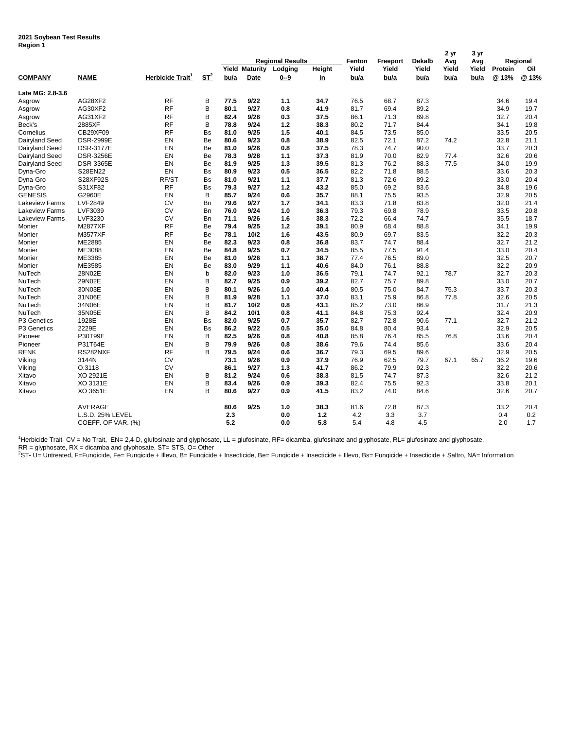## **2021 Soybean Test Results Region 1**

| .                     |                    |                              |            | <b>Regional Results</b> |      |         | Fenton    | Freeport | Dekalb | 2 yr<br>Avg | 3 yr<br>Avg | Regional |                |      |
|-----------------------|--------------------|------------------------------|------------|-------------------------|------|---------|-----------|----------|--------|-------------|-------------|----------|----------------|------|
|                       |                    |                              |            | <b>Yield Maturity</b>   |      | Lodging | Height    | Yield    | Yield  | Yield       | Yield       | Yield    | Protein<br>Oil |      |
| <b>COMPANY</b>        | <b>NAME</b>        | Herbicide Trait <sup>1</sup> | $ST^2$     | bu/a                    | Date | $0 - 9$ | <u>in</u> | bu/a     | bu/a   | bu/a        | bu/a        | bu/a     | @13%           | @13% |
| Late MG: 2.8-3.6      |                    |                              |            |                         |      |         |           |          |        |             |             |          |                |      |
| Asgrow                | AG28XF2            | <b>RF</b>                    | B          | 77.5                    | 9/22 | 1.1     | 34.7      | 76.5     | 68.7   | 87.3        |             |          | 34.6           | 19.4 |
| Asgrow                | AG30XF2            | <b>RF</b>                    | B          | 80.1                    | 9/27 | 0.8     | 41.9      | 81.7     | 69.4   | 89.2        |             |          | 34.9           | 19.7 |
| Asgrow                | AG31XF2            | <b>RF</b>                    | B          | 82.4                    | 9/26 | 0.3     | 37.5      | 86.1     | 71.3   | 89.8        |             |          | 32.7           | 20.4 |
| Beck's                | 2885XF             | <b>RF</b>                    | B          | 78.8                    | 9/24 | $1.2$   | 38.3      | 80.2     | 71.7   | 84.4        |             |          | 34.1           | 19.8 |
| Cornelius             | CB29XF09           | <b>RF</b>                    | <b>Bs</b>  | 81.0                    | 9/25 | 1.5     | 40.1      | 84.5     | 73.5   | 85.0        |             |          | 33.5           | 20.5 |
| Dairyland Seed        | <b>DSR-2999E</b>   | EN                           | Be         | 80.6                    | 9/23 | 0.8     | 38.9      | 82.5     | 72.1   | 87.2        | 74.2        |          | 32.8           | 21.1 |
| Dairyland Seed        | <b>DSR-3177E</b>   | EN                           | Be         | 81.0                    | 9/26 | 0.8     | 37.5      | 78.3     | 74.7   | 90.0        |             |          | 33.7           | 20.3 |
| Dairyland Seed        | <b>DSR-3256E</b>   | EN                           | Be         | 78.3                    | 9/28 | 1.1     | 37.3      | 81.9     | 70.0   | 82.9        | 77.4        |          | 32.6           | 20.6 |
| Dairyland Seed        | <b>DSR-3365E</b>   | EN                           | Be         | 81.9                    | 9/25 | 1.3     | 39.5      | 81.3     | 76.2   | 88.3        | 77.5        |          | 34.0           | 19.9 |
| Dyna-Gro              | S28EN22            | EN                           | <b>Bs</b>  | 80.9                    | 9/23 | 0.5     | 36.5      | 82.2     | 71.8   | 88.5        |             |          | 33.6           | 20.3 |
| Dyna-Gro              | S28XF92S           | RF/ST                        | <b>Bs</b>  | 81.0                    | 9/21 | 1.1     | 37.7      | 81.3     | 72.6   | 89.2        |             |          | 33.0           | 20.4 |
| Dyna-Gro              | S31XF82            | <b>RF</b>                    | <b>Bs</b>  | 79.3                    | 9/27 | $1.2$   | 43.2      | 85.0     | 69.2   | 83.6        |             |          | 34.8           | 19.6 |
| <b>GENESIS</b>        | G2960E             | EN                           | B          | 85.7                    | 9/24 | 0.6     | 35.7      | 88.1     | 75.5   | 93.5        |             |          | 32.9           | 20.5 |
| <b>Lakeview Farms</b> | LVF2849            | CV                           | <b>Bn</b>  | 79.6                    | 9/27 | 1.7     | 34.1      | 83.3     | 71.8   | 83.8        |             |          | 32.0           | 21.4 |
| <b>Lakeview Farms</b> | LVF3039            | CV                           | <b>B</b> n | 76.0                    | 9/24 | 1.0     | 36.3      | 79.3     | 69.8   | 78.9        |             |          | 33.5           | 20.8 |
| <b>Lakeview Farms</b> | LVF3230            | CV                           | Bn         | 71.1                    | 9/26 | 1.6     | 38.3      | 72.2     | 66.4   | 74.7        |             |          | 35.5           | 18.7 |
| Monier                | M2877XF            | <b>RF</b>                    | Be         | 79.4                    | 9/25 | $1.2$   | 39.1      | 80.9     | 68.4   | 88.8        |             |          | 34.1           | 19.9 |
| Monier                | M3577XF            | <b>RF</b>                    | Be         | 78.1                    | 10/2 | 1.6     | 43.5      | 80.9     | 69.7   | 83.5        |             |          | 32.2           | 20.3 |
| Monier                | ME2885             | EN                           | Be         | 82.3                    | 9/23 | 0.8     | 36.8      | 83.7     | 74.7   | 88.4        |             |          | 32.7           | 21.2 |
| Monier                | ME3088             | EN                           | Be         | 84.8                    | 9/25 | 0.7     | 34.5      | 85.5     | 77.5   | 91.4        |             |          | 33.0           | 20.4 |
| Monier                | ME3385             | EN                           | Be         | 81.0                    | 9/26 | 1.1     | 38.7      | 77.4     | 76.5   | 89.0        |             |          | 32.5           | 20.7 |
| Monier                | ME3585             | EN                           | Be         | 83.0                    | 9/29 | 1.1     | 40.6      | 84.0     | 76.1   | 88.8        |             |          | 32.2           | 20.9 |
| NuTech                | 28N02E             | EN                           | b          | 82.0                    | 9/23 | 1.0     | 36.5      | 79.1     | 74.7   | 92.1        | 78.7        |          | 32.7           | 20.3 |
| NuTech                | 29N02E             | EN                           | B          | 82.7                    | 9/25 | 0.9     | 39.2      | 82.7     | 75.7   | 89.8        |             |          | 33.0           | 20.7 |
| NuTech                | 30N03E             | EN                           | B          | 80.1                    | 9/26 | 1.0     | 40.4      | 80.5     | 75.0   | 84.7        | 75.3        |          | 33.7           | 20.3 |
| NuTech                | 31N06E             | EN                           | B          | 81.9                    | 9/28 | $1.1$   | 37.0      | 83.1     | 75.9   | 86.8        | 77.8        |          | 32.6           | 20.5 |
| NuTech                | 34N06E             | EN                           | B          | 81.7                    | 10/2 | 0.8     | 43.1      | 85.2     | 73.0   | 86.9        |             |          | 31.7           | 21.3 |
| NuTech                | 35N05E             | EN                           | B          | 84.2                    | 10/1 | 0.8     | 41.1      | 84.8     | 75.3   | 92.4        |             |          | 32.4           | 20.9 |
| P3 Genetics           | 1928E              | EN                           | <b>Bs</b>  | 82.0                    | 9/25 | 0.7     | 35.7      | 82.7     | 72.8   | 90.6        | 77.1        |          | 32.7           | 21.2 |
| P3 Genetics           | 2229E              | EN                           | <b>Bs</b>  | 86.2                    | 9/22 | 0.5     | 35.0      | 84.8     | 80.4   | 93.4        |             |          | 32.9           | 20.5 |
| Pioneer               | P30T99E            | EN                           | B          | 82.5                    | 9/26 | 0.8     | 40.8      | 85.8     | 76.4   | 85.5        | 76.8        |          | 33.6           | 20.4 |
| Pioneer               | P31T64E            | EN                           | B          | 79.9                    | 9/26 | 0.8     | 38.6      | 79.6     | 74.4   | 85.6        |             |          | 33.6           | 20.4 |
| <b>RENK</b>           | RS282NXF           | <b>RF</b>                    | B          | 79.5                    | 9/24 | 0.6     | 36.7      | 79.3     | 69.5   | 89.6        |             |          | 32.9           | 20.5 |
| Viking                | 3144N              | CV                           |            | 73.1                    | 9/26 | 0.9     | 37.9      | 76.9     | 62.5   | 79.7        | 67.1        | 65.7     | 36.2           | 19.6 |
| Viking                | O.3118             | CV                           |            | 86.1                    | 9/27 | 1.3     | 41.7      | 86.2     | 79.9   | 92.3        |             |          | 32.2           | 20.6 |
| Xitavo                | XO 2921E           | EN                           | B          | 81.2                    | 9/24 | 0.6     | 38.3      | 81.5     | 74.7   | 87.3        |             |          | 32.6           | 21.2 |
| Xitavo                | XO 3131E           | EN                           | B          | 83.4                    | 9/26 | 0.9     | 39.3      | 82.4     | 75.5   | 92.3        |             |          | 33.8           | 20.1 |
| Xitavo                | XO 3651E           | EN                           | B          | 80.6                    | 9/27 | 0.9     | 41.5      | 83.2     | 74.0   | 84.6        |             |          | 32.6           | 20.7 |
|                       | AVERAGE            |                              |            | 80.6                    | 9/25 | 1.0     | 38.3      | 81.6     | 72.8   | 87.3        |             |          | 33.2           | 20.4 |
|                       | L.S.D. 25% LEVEL   |                              |            | 2.3                     |      | 0.0     | 1.2       | 4.2      | 3.3    | 3.7         |             |          | 0.4            | 0.2  |
|                       | COEFF. OF VAR. (%) |                              |            | 5.2                     |      | 0.0     | 5.8       | 5.4      | 4.8    | 4.5         |             |          | 2.0            | 1.7  |

<sup>1</sup>Herbicide Trait- CV = No Trait, EN= 2,4-D, glufosinate and glyphosate, LL = glufosinate, RF= dicamba, glufosinate and glyphosate, RL= glufosinate and glyphosate,

RR = alvphosate. RX = dicamba and alvphosate. ST= STS. O= Other<br><sup>2</sup>ST- U= Untreated. F=Fungicide. Fe= Fungicide + Illevo. B= Fungicide + Insecticide. Be= Fungicide + Illevo + Illevo. Bs= Fungicide + Insecticide + Saltro.